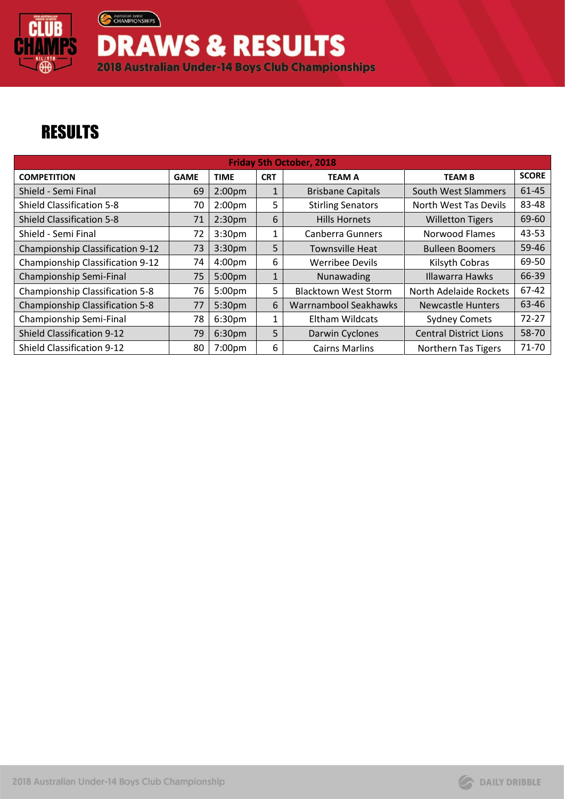

**DRAWS & RESULTS** 2018 Australian Under-14 Boys Club Championships

## **RESULTS**

Australian Junior

| <b>Friday 5th October, 2018</b>        |             |                    |              |                             |                               |              |  |  |  |
|----------------------------------------|-------------|--------------------|--------------|-----------------------------|-------------------------------|--------------|--|--|--|
| <b>COMPETITION</b>                     | <b>GAME</b> | <b>TIME</b>        | <b>CRT</b>   | <b>TEAM A</b>               | <b>TEAM B</b>                 | <b>SCORE</b> |  |  |  |
| Shield - Semi Final                    | 69          | 2:00 <sub>pm</sub> | $\mathbf{1}$ | <b>Brisbane Capitals</b>    | South West Slammers           | 61-45        |  |  |  |
| <b>Shield Classification 5-8</b>       | 70          | 2:00 <sub>pm</sub> | 5            | <b>Stirling Senators</b>    | North West Tas Devils         | 83-48        |  |  |  |
| <b>Shield Classification 5-8</b>       | 71          | 2:30 <sub>pm</sub> | 6            | <b>Hills Hornets</b>        | <b>Willetton Tigers</b>       | 69-60        |  |  |  |
| Shield - Semi Final                    | 72          | 3:30 <sub>pm</sub> | 1            | <b>Canberra Gunners</b>     | Norwood Flames                | 43-53        |  |  |  |
| Championship Classification 9-12       | 73          | 3:30 <sub>pm</sub> | 5            | <b>Townsville Heat</b>      | <b>Bulleen Boomers</b>        | 59-46        |  |  |  |
| Championship Classification 9-12       | 74          | 4:00 <sub>pm</sub> | 6            | <b>Werribee Devils</b>      | Kilsyth Cobras                | 69-50        |  |  |  |
| Championship Semi-Final                | 75          | 5:00 <sub>pm</sub> | $\mathbf{1}$ | Nunawading                  | <b>Illawarra Hawks</b>        | 66-39        |  |  |  |
| <b>Championship Classification 5-8</b> | 76          | 5:00pm             | 5            | <b>Blacktown West Storm</b> | North Adelaide Rockets        | 67-42        |  |  |  |
| Championship Classification 5-8        | 77          | 5:30 <sub>pm</sub> | 6            | Warrnambool Seakhawks       | <b>Newcastle Hunters</b>      | 63-46        |  |  |  |
| Championship Semi-Final                | 78          | 6:30 <sub>pm</sub> | 1            | Eltham Wildcats             | <b>Sydney Comets</b>          | $72 - 27$    |  |  |  |
| <b>Shield Classification 9-12</b>      | 79          | 6:30 <sub>pm</sub> | 5            | Darwin Cyclones             | <b>Central District Lions</b> | 58-70        |  |  |  |
| Shield Classification 9-12             | 80          | 7:00pm             | 6            | <b>Cairns Marlins</b>       | <b>Northern Tas Tigers</b>    | 71-70        |  |  |  |

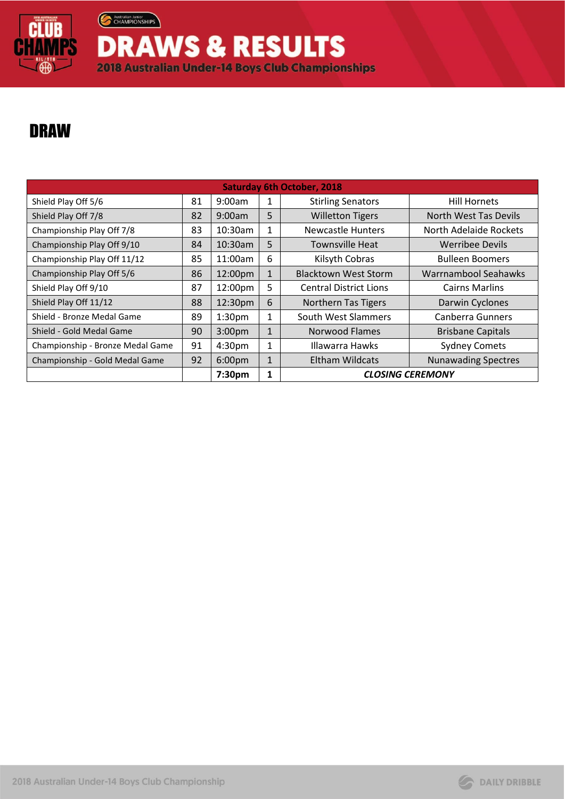

Australian Junior

**DRAWS & RESULTS** 2018 Australian Under-14 Boys Club Championships

## DRAW

| <b>Saturday 6th October, 2018</b> |    |                    |              |                               |                            |  |  |  |
|-----------------------------------|----|--------------------|--------------|-------------------------------|----------------------------|--|--|--|
| Shield Play Off 5/6               | 81 | 9:00am             | 1            | <b>Stirling Senators</b>      | <b>Hill Hornets</b>        |  |  |  |
| Shield Play Off 7/8               | 82 | 9:00am             | 5            | <b>Willetton Tigers</b>       | North West Tas Devils      |  |  |  |
| Championship Play Off 7/8         | 83 | 10:30am            | 1            | Newcastle Hunters             | North Adelaide Rockets     |  |  |  |
| Championship Play Off 9/10        | 84 | 10:30am            | 5            | <b>Townsville Heat</b>        | <b>Werribee Devils</b>     |  |  |  |
| Championship Play Off 11/12       | 85 | 11:00am            | 6            | Kilsyth Cobras                | <b>Bulleen Boomers</b>     |  |  |  |
| Championship Play Off 5/6         | 86 | 12:00pm            | $\mathbf{1}$ | <b>Blacktown West Storm</b>   | Warrnambool Seahawks       |  |  |  |
| Shield Play Off 9/10              | 87 | 12:00pm            | 5            | <b>Central District Lions</b> | <b>Cairns Marlins</b>      |  |  |  |
| Shield Play Off 11/12             | 88 | 12:30pm            | 6            | Northern Tas Tigers           | Darwin Cyclones            |  |  |  |
| Shield - Bronze Medal Game        | 89 | 1:30 <sub>pm</sub> | 1            | South West Slammers           | <b>Canberra Gunners</b>    |  |  |  |
| Shield - Gold Medal Game          | 90 | 3:00 <sub>pm</sub> | $\mathbf{1}$ | <b>Norwood Flames</b>         | <b>Brisbane Capitals</b>   |  |  |  |
| Championship - Bronze Medal Game  | 91 | 4:30pm             | 1            | Illawarra Hawks               | <b>Sydney Comets</b>       |  |  |  |
| Championship - Gold Medal Game    | 92 | 6:00 <sub>pm</sub> | $\mathbf{1}$ | Eltham Wildcats               | <b>Nunawading Spectres</b> |  |  |  |
|                                   |    | 7:30pm             | 1            | <b>CLOSING CEREMONY</b>       |                            |  |  |  |